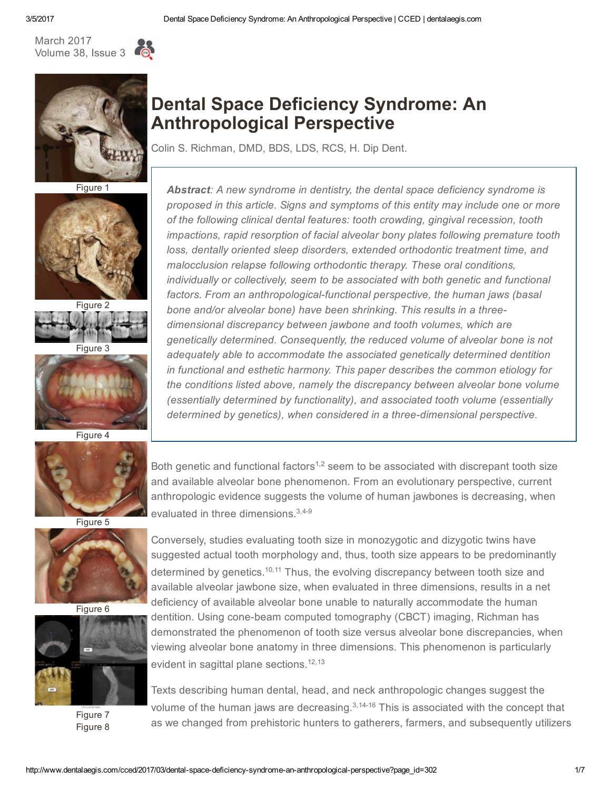





Figure 1



Figure 2

Figure 3



Figure 4



Figure 5



Figure 6



Figure 7 Figure 8

# Dental Space Deficiency Syndrome: An Anthropological Perspective

Colin S. Richman, DMD, BDS, LDS, RCS, H. Dip Dent.

Abstract: A new syndrome in dentistry, the dental space deficiency syndrome is proposed in this article. Signs and symptoms of this entity may include one or more of the following clinical dental features: tooth crowding, gingival recession, tooth impactions, rapid resorption of facial alveolar bony plates following premature tooth loss, dentally oriented sleep disorders, extended orthodontic treatment time, and malocclusion relapse following orthodontic therapy. These oral conditions, individually or collectively, seem to be associated with both genetic and functional factors. From an anthropological-functional perspective, the human jaws (basal bone and/or alveolar bone) have been shrinking. This results in a threedimensional discrepancy between jawbone and tooth volumes, which are genetically determined. Consequently, the reduced volume of alveolar bone is not adequately able to accommodate the associated genetically determined dentition in functional and esthetic harmony. This paper describes the common etiology for the conditions listed above, namely the discrepancy between alveolar bone volume (essentially determined by functionality), and associated tooth volume (essentially determined by genetics), when considered in a three-dimensional perspective.

Both genetic and functional factors<sup> $1,2$ </sup> seem to be associated with discrepant tooth size and available alveolar bone phenomenon. From an evolutionary perspective, current anthropologic evidence suggests the volume of human jawbones is decreasing, when evaluated in three dimensions.<sup>3,4-9</sup>

Conversely, studies evaluating tooth size in monozygotic and dizygotic twins have suggested actual tooth morphology and, thus, tooth size appears to be predominantly determined by genetics.<sup>10,11</sup> Thus, the evolving discrepancy between tooth size and available alveolar jawbone size, when evaluated in three dimensions, results in a net deficiency of available alveolar bone unable to naturally accommodate the human dentition. Using cone-beam computed tomography (CBCT) imaging, Richman has demonstrated the phenomenon of tooth size versus alveolar bone discrepancies, when viewing alveolar bone anatomy in three dimensions. This phenomenon is particularly evident in sagittal plane sections. 12,13

Texts describing human dental, head, and neck anthropologic changes suggest the volume of the human jaws are decreasing. $3,14-16$  This is associated with the concept that as we changed from prehistoric hunters to gatherers, farmers, and subsequently utilizers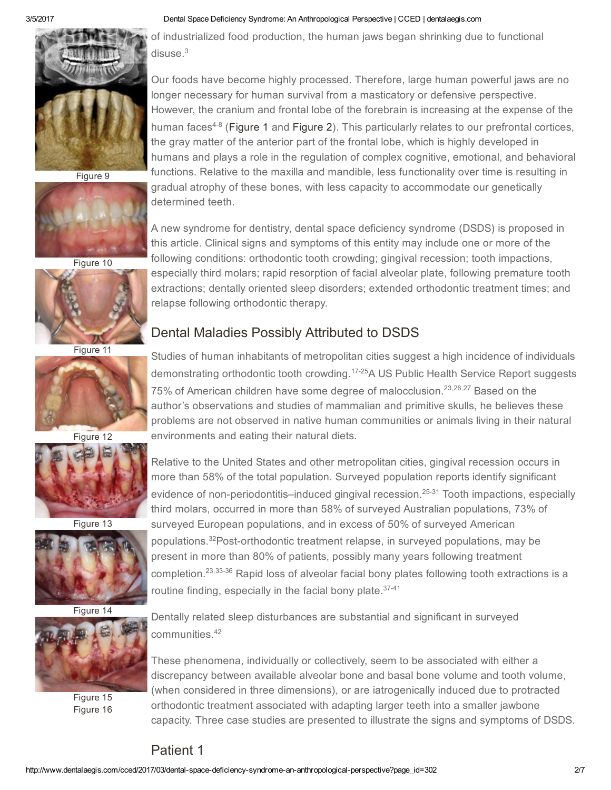

Figure 9



Figure 10



Figure 11



Figure 12



Figure 13



Figure 14



Figure 15 Figure 16

#### 3/5/2017 Dental Space Deficiency Syndrome: An Anthropological Perspective | CCED | dentalaegis.com

of industrialized food production, the human jaws began shrinking due to functional disuse. 3

Our foods have become highly processed. Therefore, large human powerful jaws are no longer necessary for human survival from a masticatory or defensive perspective. However, the cranium and frontal lobe of the forebrain is increasing at the expense of the human faces<sup>4-8</sup> ([Figure](javascript:tryClick() 1 and Figure 2). This particularly relates to our prefrontal cortices, the gray matter of the anterior part of the frontal lobe, which is highly developed in humans and plays a role in the regulation of complex cognitive, emotional, and behavioral functions. Relative to the maxilla and mandible, less functionality over time is resulting in gradual atrophy of these bones, with less capacity to accommodate our genetically determined teeth.

A new syndrome for dentistry, dental space deficiency syndrome (DSDS) is proposed in this article. Clinical signs and symptoms of this entity may include one or more of the following conditions: orthodontic tooth crowding; gingival recession; tooth impactions, especially third molars; rapid resorption of facial alveolar plate, following premature tooth extractions; dentally oriented sleep disorders; extended orthodontic treatment times; and relapse following orthodontic therapy.

## Dental Maladies Possibly Attributed to DSDS

Studies of human inhabitants of metropolitan cities suggest a high incidence of individuals demonstrating orthodontic tooth crowding.<sup>17-25</sup>A US Public Health Service Report suggests 75% of American children have some degree of malocclusion.<sup>23,26,27</sup> Based on the author's observations and studies of mammalian and primitive skulls, he believes these problems are not observed in native human communities or animals living in their natural environments and eating their natural diets.

Relative to the United States and other metropolitan cities, gingival recession occurs in more than 58% of the total population. Surveyed population reports identify significant evidence of non-periodontitis–induced gingival recession.<sup>25-31</sup> Tooth impactions, especially third molars, occurred in more than 58% of surveyed Australian populations, 73% of surveyed European populations, and in excess of 50% of surveyed American populations.<sup>32</sup>Post-orthodontic treatment relapse, in surveyed populations, may be present in more than 80% of patients, possibly many years following treatment completion.<sup>23,33-36</sup> Rapid loss of alveolar facial bony plates following tooth extractions is a routine finding, especially in the facial bony plate.<sup>37-41</sup>

Dentally related sleep disturbances are substantial and significant in surveyed communities. 42

These phenomena, individually or collectively, seem to be associated with either a discrepancy between available alveolar bone and basal bone volume and tooth volume, (when considered in three dimensions), or are iatrogenically induced due to protracted orthodontic treatment associated with adapting larger teeth into a smaller jawbone capacity. Three case studies are presented to illustrate the signs and symptoms of DSDS.

## Patient 1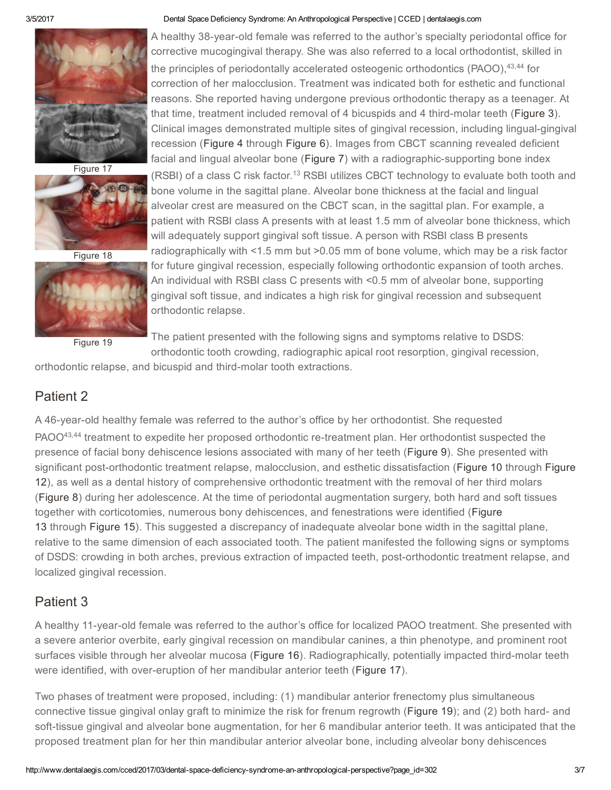

Figure 17



Figure 18



Figure 19

#### 3/5/2017 Dental Space Deficiency Syndrome: An Anthropological Perspective | CCED | dentalaegis.com

A healthy 38-year-old female was referred to the author's specialty periodontal office for corrective mucogingival therapy. She was also referred to a local orthodontist, skilled in the principles of periodontally accelerated osteogenic orthodontics (PAOO), 43,44 for correction of her malocclusion. Treatment was indicated both for esthetic and functional reasons. She reported having undergone previous orthodontic therapy as a teenager. At that time, treatment included removal of 4 bicuspids and 4 third-molar teeth ([Figure](javascript:tryClick() 3). Clinical images demonstrated multiple sites of gingival recession, including lingual-gingival recession ([Figure](javascript:tryClick() 4 through [Figure](javascript:tryClick() 6). Images from CBCT scanning revealed deficient facial and lingual alveolar bone [\(Figure](javascript:tryClick() 7) with a radiographic-supporting bone index (RSBI) of a class C risk factor.<sup>13</sup> RSBI utilizes CBCT technology to evaluate both tooth and bone volume in the sagittal plane. Alveolar bone thickness at the facial and lingual alveolar crest are measured on the CBCT scan, in the sagittal plan. For example, a patient with RSBI class A presents with at least 1.5 mm of alveolar bone thickness, which will adequately support gingival soft tissue. A person with RSBI class B presents radiographically with <1.5 mm but >0.05 mm of bone volume, which may be a risk factor for future gingival recession, especially following orthodontic expansion of tooth arches. An individual with RSBI class C presents with <0.5 mm of alveolar bone, supporting gingival soft tissue, and indicates a high risk for gingival recession and subsequent orthodontic relapse.

The patient presented with the following signs and symptoms relative to DSDS: orthodontic tooth crowding, radiographic apical root resorption, gingival recession,

orthodontic relapse, and bicuspid and third-molar tooth extractions.

## Patient 2

A 46-year-old healthy female was referred to the author's office by her orthodontist. She requested PAOO<sup>43,44</sup> treatment to expedite her proposed orthodontic re-treatment plan. Her orthodontist suspected the presence of facial bony dehiscence lesions associated with many of her teeth [\(Figure](javascript:tryClick() 9). She presented with significant post-orthodontic treatment relapse, malocclusion, and esthetic dissatisfaction ([Figure](javascript:tryClick() 10 through Figure 12), as well as a dental history of comprehensive orthodontic treatment with the removal of her third molars ([Figure](javascript:tryClick() 8) during her adolescence. At the time of periodontal augmentation surgery, both hard and soft tissues together with [corticotomies,](javascript:tryClick() numerous bony dehiscences, and fenestrations were identified (Figure 13 through [Figure](javascript:tryClick() 15). This suggested a discrepancy of inadequate alveolar bone width in the sagittal plane, relative to the same dimension of each associated tooth. The patient manifested the following signs or symptoms of DSDS: crowding in both arches, previous extraction of impacted teeth, post-orthodontic treatment relapse, and localized gingival recession.

## Patient 3

A healthy 11-year-old female was referred to the author's office for localized PAOO treatment. She presented with a severe anterior overbite, early gingival recession on mandibular canines, a thin phenotype, and prominent root surfaces visible through her alveolar mucosa [\(Figure](javascript:tryClick() 16). Radiographically, potentially impacted third-molar teeth were identified, with over-eruption of her mandibular anterior teeth [\(Figure](javascript:tryClick() 17).

Two phases of treatment were proposed, including: (1) mandibular anterior frenectomy plus simultaneous connective tissue gingival onlay graft to minimize the risk for frenum regrowth [\(Figure](javascript:tryClick() 19); and (2) both hard- and soft-tissue gingival and alveolar bone augmentation, for her 6 mandibular anterior teeth. It was anticipated that the proposed treatment plan for her thin mandibular anterior alveolar bone, including alveolar bony dehiscences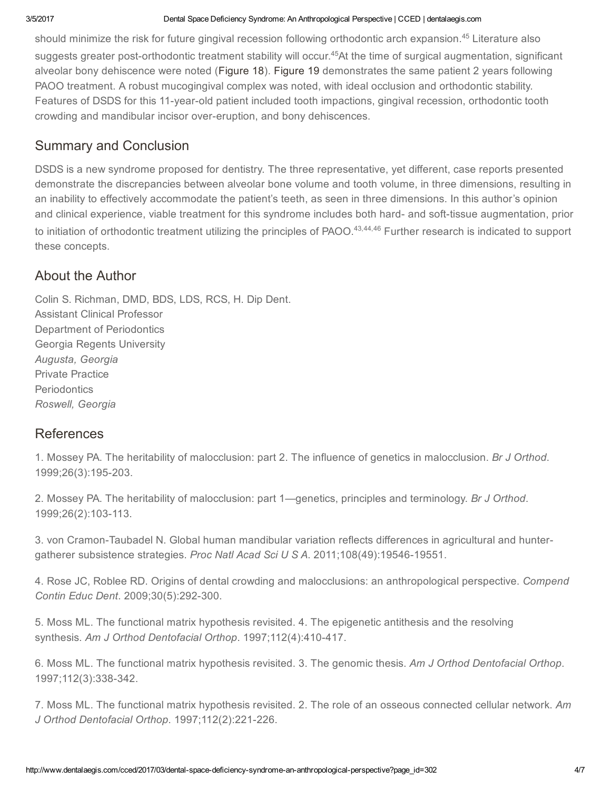should minimize the risk for future gingival recession following orthodontic arch expansion.<sup>45</sup> Literature also suggests greater post-orthodontic treatment stability will occur.<sup>45</sup>At the time of surgical augmentation, significant alveolar bony dehiscence were noted ([Figure](javascript:tryClick() 18). [Figure](javascript:tryClick() 19 demonstrates the same patient 2 years following PAOO treatment. A robust mucogingival complex was noted, with ideal occlusion and orthodontic stability. Features of DSDS for this 11-year-old patient included tooth impactions, gingival recession, orthodontic tooth crowding and mandibular incisor over-eruption, and bony dehiscences.

## Summary and Conclusion

DSDS is a new syndrome proposed for dentistry. The three representative, yet different, case reports presented demonstrate the discrepancies between alveolar bone volume and tooth volume, in three dimensions, resulting in an inability to effectively accommodate the patient's teeth, as seen in three dimensions. In this author's opinion and clinical experience, viable treatment for this syndrome includes both hard- and soft-tissue augmentation, prior to initiation of orthodontic treatment utilizing the principles of PAOO.<sup>43,44,46</sup> Further research is indicated to support these concepts.

## About the Author

Colin S. Richman, DMD, BDS, LDS, RCS, H. Dip Dent. Assistant Clinical Professor Department of Periodontics Georgia Regents University Augusta, Georgia Private Practice **Periodontics** Roswell, Georgia

## References

1. Mossey PA. The heritability of malocclusion: part 2. The influence of genetics in malocclusion. Br J Orthod. 1999;26(3):195-203.

2. Mossey PA. The heritability of malocclusion: part 1—genetics, principles and terminology. Br J Orthod. 1999;26(2):103-113.

3. von Cramon-Taubadel N. Global human mandibular variation reflects differences in agricultural and huntergatherer subsistence strategies. Proc Natl Acad Sci U S A. 2011;108(49):19546-19551.

4. Rose JC, Roblee RD. Origins of dental crowding and malocclusions: an anthropological perspective. Compend Contin Educ Dent. 2009;30(5):292-300.

5. Moss ML. The functional matrix hypothesis revisited. 4. The epigenetic antithesis and the resolving synthesis. Am J Orthod Dentofacial Orthop. 1997;112(4):410-417.

6. Moss ML. The functional matrix hypothesis revisited. 3. The genomic thesis. Am J Orthod Dentofacial Orthop. 1997;112(3):338-342.

7. Moss ML. The functional matrix hypothesis revisited. 2. The role of an osseous connected cellular network. Am J Orthod Dentofacial Orthop. 1997;112(2):221-226.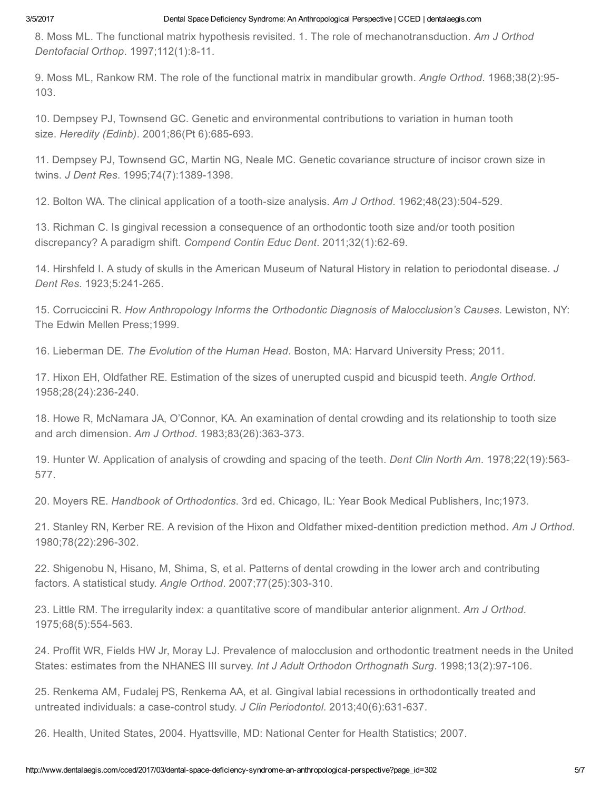8. Moss ML. The functional matrix hypothesis revisited. 1. The role of mechanotransduction. Am J Orthod Dentofacial Orthop. 1997;112(1):8-11.

9. Moss ML, Rankow RM. The role of the functional matrix in mandibular growth. Angle Orthod. 1968;38(2):95-103.

10. Dempsey PJ, Townsend GC. Genetic and environmental contributions to variation in human tooth size. Heredity (Edinb). 2001;86(Pt 6):685-693.

11. Dempsey PJ, Townsend GC, Martin NG, Neale MC. Genetic covariance structure of incisor crown size in twins. J Dent Res. 1995;74(7):1389-1398.

12. Bolton WA. The clinical application of a tooth-size analysis. Am J Orthod. 1962;48(23):504-529.

13. Richman C. Is gingival recession a consequence of an orthodontic tooth size and/or tooth position discrepancy? A paradigm shift. Compend Contin Educ Dent. 2011;32(1):62-69.

14. Hirshfeld I. A study of skulls in the American Museum of Natural History in relation to periodontal disease. J Dent Res. 1923;5:241-265.

15. Corruciccini R. How Anthropology Informs the Orthodontic Diagnosis of Malocclusion's Causes. Lewiston, NY: The Edwin Mellen Press;1999.

16. Lieberman DE. The Evolution of the Human Head. Boston, MA: Harvard University Press; 2011.

17. Hixon EH, Oldfather RE. Estimation of the sizes of unerupted cuspid and bicuspid teeth. Angle Orthod. 1958;28(24):236-240.

18. Howe R, McNamara JA, O'Connor, KA. An examination of dental crowding and its relationship to tooth size and arch dimension. Am J Orthod. 1983;83(26):363-373.

19. Hunter W. Application of analysis of crowding and spacing of the teeth. Dent Clin North Am. 1978;22(19):563 577.

20. Moyers RE. Handbook of Orthodontics. 3rd ed. Chicago, IL: Year Book Medical Publishers, Inc;1973.

21. Stanley RN, Kerber RE. A revision of the Hixon and Oldfather mixed-dentition prediction method. Am J Orthod. 1980;78(22):296-302.

22. Shigenobu N, Hisano, M, Shima, S, et al. Patterns of dental crowding in the lower arch and contributing factors. A statistical study. Angle Orthod. 2007;77(25):303-310.

23. Little RM. The irregularity index: a quantitative score of mandibular anterior alignment. Am J Orthod. 1975;68(5):554-563.

24. Proffit WR, Fields HW Jr, Moray LJ. Prevalence of malocclusion and orthodontic treatment needs in the United States: estimates from the NHANES III survey. Int J Adult Orthodon Orthognath Surg. 1998;13(2):97-106.

25. Renkema AM, Fudalej PS, Renkema AA, et al. Gingival labial recessions in orthodontically treated and untreated individuals: a case-control study. J Clin Periodontol. 2013;40(6):631-637.

26. Health, United States, 2004. Hyattsville, MD: National Center for Health Statistics; 2007.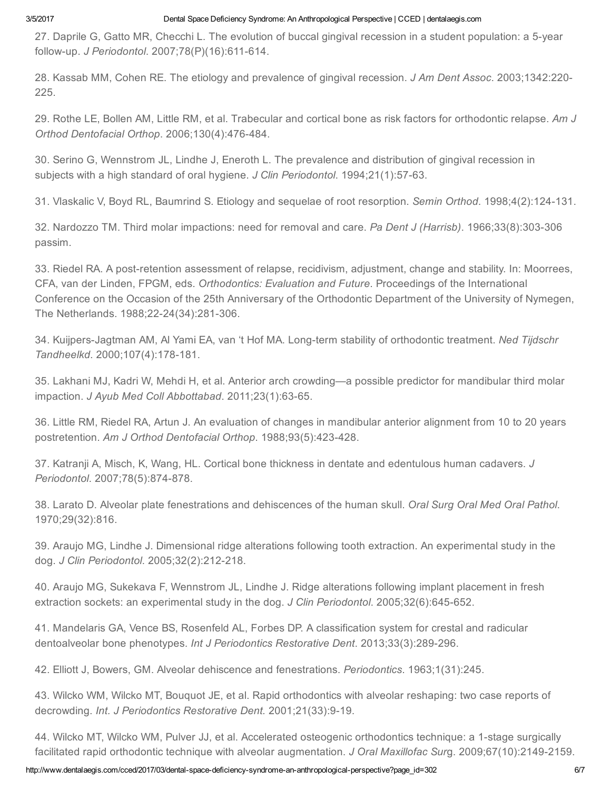27. Daprile G, Gatto MR, Checchi L. The evolution of buccal gingival recession in a student population: a 5-year follow-up. J Periodontol. 2007;78(P)(16):611-614.

28. Kassab MM, Cohen RE. The etiology and prevalence of gingival recession. J Am Dent Assoc. 2003;1342:220 225.

29. Rothe LE, Bollen AM, Little RM, et al. Trabecular and cortical bone as risk factors for orthodontic relapse. Am J Orthod Dentofacial Orthop. 2006;130(4):476-484.

30. Serino G, Wennstrom JL, Lindhe J, Eneroth L. The prevalence and distribution of gingival recession in subjects with a high standard of oral hygiene. J Clin Periodontol. 1994;21(1):57-63.

31. Vlaskalic V, Boyd RL, Baumrind S. Etiology and sequelae of root resorption. Semin Orthod. 1998;4(2):124-131.

32. Nardozzo TM. Third molar impactions: need for removal and care. Pa Dent J (Harrisb). 1966;33(8):303-306 passim.

33. Riedel RA. A post-retention assessment of relapse, recidivism, adjustment, change and stability. In: Moorrees, CFA, van der Linden, FPGM, eds. Orthodontics: Evaluation and Future. Proceedings of the International Conference on the Occasion of the 25th Anniversary of the Orthodontic Department of the University of Nymegen, The Netherlands. 1988;22-24(34):281-306.

34. Kuijpers-Jagtman AM, Al Yami EA, van 't Hof MA. Long-term stability of orthodontic treatment. Ned Tijdschr Tandheelkd. 2000;107(4):178-181.

35. Lakhani MJ, Kadri W, Mehdi H, et al. Anterior arch crowding—a possible predictor for mandibular third molar impaction. J Ayub Med Coll Abbottabad. 2011;23(1):63-65.

36. Little RM, Riedel RA, Artun J. An evaluation of changes in mandibular anterior alignment from 10 to 20 years postretention. Am J Orthod Dentofacial Orthop. 1988;93(5):423-428.

37. Katranji A, Misch, K, Wang, HL. Cortical bone thickness in dentate and edentulous human cadavers. J Periodontol. 2007;78(5):874-878.

38. Larato D. Alveolar plate fenestrations and dehiscences of the human skull. Oral Surg Oral Med Oral Pathol. 1970;29(32):816.

39. Araujo MG, Lindhe J. Dimensional ridge alterations following tooth extraction. An experimental study in the dog. J Clin Periodontol. 2005;32(2):212-218.

40. Araujo MG, Sukekava F, Wennstrom JL, Lindhe J. Ridge alterations following implant placement in fresh extraction sockets: an experimental study in the dog. J Clin Periodontol. 2005;32(6):645-652.

41. Mandelaris GA, Vence BS, Rosenfeld AL, Forbes DP. A classification system for crestal and radicular dentoalveolar bone phenotypes. Int J Periodontics Restorative Dent. 2013;33(3):289-296.

42. Elliott J, Bowers, GM. Alveolar dehiscence and fenestrations. Periodontics. 1963;1(31):245.

43. Wilcko WM, Wilcko MT, Bouquot JE, et al. Rapid orthodontics with alveolar reshaping: two case reports of decrowding. Int. J Periodontics Restorative Dent. 2001;21(33):9-19.

44. Wilcko MT, Wilcko WM, Pulver JJ, et al. Accelerated osteogenic orthodontics technique: a 1-stage surgically facilitated rapid orthodontic technique with alveolar augmentation. J Oral Maxillofac Surg. 2009;67(10):2149-2159.